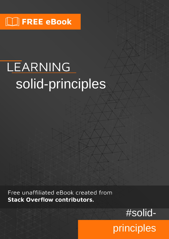# LEARNING solid-principles

Free unaffiliated eBook created from **Stack Overflow contributors.** 

#solid-

principles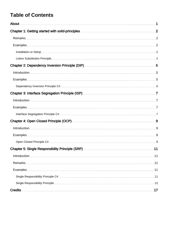# **Table of Contents**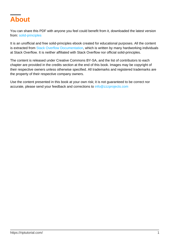<span id="page-2-0"></span>

You can share this PDF with anyone you feel could benefit from it, downloaded the latest version from: [solid-principles](http://riptutorial.com/ebook/solid-principles)

It is an unofficial and free solid-principles ebook created for educational purposes. All the content is extracted from [Stack Overflow Documentation,](https://archive.org/details/documentation-dump.7z) which is written by many hardworking individuals at Stack Overflow. It is neither affiliated with Stack Overflow nor official solid-principles.

The content is released under Creative Commons BY-SA, and the list of contributors to each chapter are provided in the credits section at the end of this book. Images may be copyright of their respective owners unless otherwise specified. All trademarks and registered trademarks are the property of their respective company owners.

Use the content presented in this book at your own risk; it is not guaranteed to be correct nor accurate, please send your feedback and corrections to [info@zzzprojects.com](mailto:info@zzzprojects.com)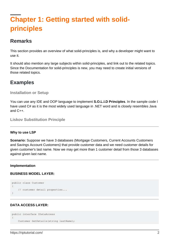# <span id="page-3-0"></span>**Chapter 1: Getting started with solidprinciples**

# <span id="page-3-1"></span>**Remarks**

This section provides an overview of what solid-principles is, and why a developer might want to use it.

It should also mention any large subjects within solid-principles, and link out to the related topics. Since the Documentation for solid-principles is new, you may need to create initial versions of those related topics.

### <span id="page-3-2"></span>**Examples**

<span id="page-3-3"></span>**Installation or Setup**

You can use any IDE and OOP language to implement **S.O.L.I.D Principles**. In the sample code I have used C# as it is the most widely used language in .NET word and is closely resembles Java and C++.

<span id="page-3-4"></span>**Liskov Substitution Principle**

#### **Why to use LSP**

**Scenario:** Suppose we have 3 databases (Mortgage Customers, Current Accounts Customers and Savings Account Customers) that provide customer data and we need customer details for given customer's last name. Now we may get more than 1 customer detail from those 3 databases against given last name.

### **Implementation**

### **BUSINESS MODEL LAYER:**

```
public class Customer
{
     // customer detail properties...
}
```
### **DATA ACCESS LAYER:**

```
public interface IDataAccess
{
     Customer GetDetails(string lastName);
```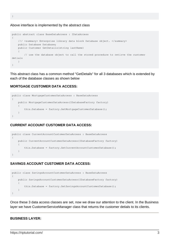}

#### Above interface is implemented by the abstract class

```
public abstract class BaseDataAccess : IDataAccess
{
     /// <summary> Enterprise library data block Database object. </summary>
     public Database Database;
     public Customer GetDetails(string lastName)
\left\{\begin{array}{ccc} \end{array}\right\} // use the database object to call the stored procedure to retirve the customer
detials
     }
}
```
This abstract class has a common method "GetDetails" for all 3 databases which is extended by each of the database classes as shown below

### **MORTGAGE CUSTOMER DATA ACCESS:**

```
public class MortgageCustomerDataAccess : BaseDataAccess
{
     public MortgageCustomerDataAccess(IDatabaseFactory factory)
     {
         this.Database = factory.GetMortgageCustomerDatabase();
     }
}
```
### **CURRENT ACCOUNT CUSTOMER DATA ACCESS:**

```
public class CurrentAccountCustomerDataAccess : BaseDataAccess
{
    public CurrentAccountCustomerDataAccess(IDatabaseFactory factory)
     {
         this.Database = factory.GetCurrentAccountCustomerDatabase();
     }
}
```
#### **SAVINGS ACCOUNT CUSTOMER DATA ACCESS:**



Once these 3 data access classes are set, now we draw our attention to the client. In the Business layer we have CustomerServiceManager class that returns the customer detials to its clients.

#### **BUSINESS LAYER:**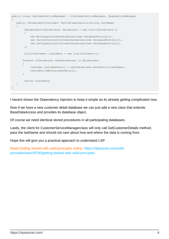```
public class CustomerServiceManager : ICustomerServiceManager, BaseServiceManager
{
    public IEnumerable<Customer> GetCustomerDetails(string lastName)
    {
         IEnumerable<IDataAccess> dataAccess = new List<IDataAccess>()
\left\{ \begin{array}{cc} 0 & 0 \\ 0 & 0 \end{array} \right\}new MortgageCustomerDataAccess(new DatabaseFactory()),
             new CurrentAccountCustomerDataAccess(new DatabaseFactory()),
              new SavingsAccountCustomerDataAccess(new DatabaseFactory())
          };
         IList<Customer> customers = new List<Customer>();
        foreach (IDataAccess nextDataAccess in dataAccess)
        {
             Customer customerDetail = nextDataAccess.GetDetails(lastName);
              customers.Add(customerDetail);
        }
         return customers;
    }
}
```
I havent shown the Dependency Injection to keep it simple as its already getting complicated now.

Now if we have a new customer detail database we can just add a new class that extends BaseDataAccess and provides its database object.

Of course we need identical stored procedures in all participating databases.

Lastly, the client for CustomerServiceManagerclass will only call GetCustomerDetails method, pass the lastName and should not care about how and where the data is coming from.

Hope this will give you a practical approach to understand LSP.

Read Getting started with solid-principles online: [https://riptutorial.com/solid](https://riptutorial.com/solid-principles/topic/9700/getting-started-with-solid-principles)[principles/topic/9700/getting-started-with-solid-principles](https://riptutorial.com/solid-principles/topic/9700/getting-started-with-solid-principles)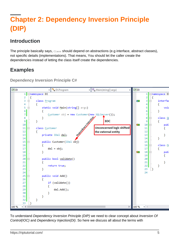# <span id="page-6-0"></span>**Chapter 2: Dependency Inversion Principle (DIP)**

# <span id="page-6-1"></span>**Introduction**

The principle basically says, Class should depend on abstractions (e.g interface, abstract classes), not specific details (implementations). That means, You should let the caller create the dependencies instead of letting the class itself create the dependencies.

# <span id="page-6-2"></span>**Examples**

<span id="page-6-3"></span>**Dependency Inversion Principle C#**



To understand Dependency Inversion Principle (DIP) we need to clear concept about Inversion Of Control(IOC) and Dependency Injection(DI). So here we discuss all about the terms with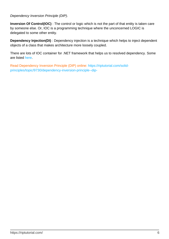### Dependency Inversion Principle (DIP).

**Inversion Of Control(IOC)** : The control or logic which is not the part of that entity is taken care by someone else. Or, IOC is a programming technique where the unconcerned LOGIC is delegated to some other entity.

**Dependency Injection(DI)** : Dependency injection is a technique which helps to inject dependent objects of a class that makes architecture more loosely coupled.

There are lots of IOC container for .NET framework that helps us to resolved dependency. Some are listed [here](https://www.hanselman.com/blog/ListOfNETDependencyInjectionContainersIOC.aspx).

Read Dependency Inversion Principle (DIP) online: [https://riptutorial.com/solid](https://riptutorial.com/solid-principles/topic/9730/dependency-inversion-principle--dip-)[principles/topic/9730/dependency-inversion-principle--dip-](https://riptutorial.com/solid-principles/topic/9730/dependency-inversion-principle--dip-)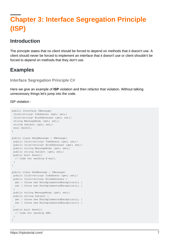# <span id="page-8-0"></span>**Chapter 3: Interface Segregation Principle (ISP)**

# <span id="page-8-1"></span>**Introduction**

The principle states that no client should be forced to depend on methods that it doesn't use. A client should never be forced to implement an interface that it doesn't use or client shouldn't be forced to depend on methods that they don't use.

# <span id="page-8-2"></span>**Examples**

```
Interface Segregation Principle C#
```
Here we give an example of **ISP** violation and then refactor that violation. Without talking unnecessary things let's jump into the code.

ISP violation :

```
public interface IMessage{
 IList<string> ToAddress {get; set;}
 IList<string> BccAddresses {get; set;}
string MessageBody {get; set; }
 string Subject {get; set;}
 bool Send();
}
public class SmtpMessage : IMessage{
public IList<string> ToAddress {get; set;}
 public IList<string> BccAddresses {get; set;}
public string MessageBody {get; set; }
 public string Subject {get; set;}
 public bool Send(){
   // Code for sending E-mail.
  }
}
public class SmsMessage : IMessage{
public IList<string> ToAddress {get; set;}
 public IList<string> BccAddresses {
  get { throw new NonImplementedException(); }
 set { throw new NonImplementedException(); }
 }
 public string MessageBody {get; set; }
 public string Subject {
 get { throw new NonImplementedException(); }
 set { throw new NonImplementedException(); }
  }
 public bool Send(){
   // Code for sending SMS.
  }
}
```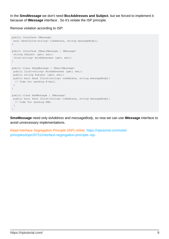In the **SmsMessage** we don't need **BccAddresses and Subject**, but we forced to implement it because of **IMessage** interface . So it's violate the ISP principle.

Remove violation according to ISP:

```
public interface IMessage{
 bool Send(IList<string> toAddress, string messageBody);
}
public interface IEmailMessage : IMessage{
string Subject {get; set;}
 IList<string> BccAddresses {get; set;}
}
public class SmtpMessage : IEmailMessage{
 public IList<string> BccAddresses {get; set;}
 public string Subject {get; set;}
 public bool Send (IList<string> toAddress, string messageBody){
   // Code for sending E-mail.
  }
}
public class SmsMessage : IMessage{
 public bool Send (IList<string> toAddress, string messageBody){
  // Code for sending SMS.
  }
}
```
**SmsMessage** need only toAddress and messageBody, so now we can use **IMessage** interface to avoid unnecessary implementations.

Read Interface Segregation Principle (ISP) online: [https://riptutorial.com/solid](https://riptutorial.com/solid-principles/topic/9731/interface-segregation-principle--isp-)[principles/topic/9731/interface-segregation-principle--isp-](https://riptutorial.com/solid-principles/topic/9731/interface-segregation-principle--isp-)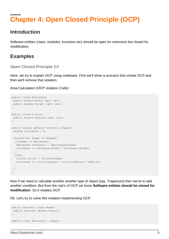# <span id="page-10-0"></span>**Chapter 4: Open Closed Principle (OCP)**

### <span id="page-10-1"></span>**Introduction**

Software entities (class, modules, functions etc) should be open for extension but closed for modification.

# <span id="page-10-2"></span>**Examples**

<span id="page-10-3"></span>**Open Closed Principle C#**

Here, we try to explain OCP using codebase. First we'll show a scenario that violate OCP and then we'll remove that violation.

Area Calculation (OCP violation Code) :

```
public class Rectangle{
public double Width {get; set; }
 public double Height {get; set;}
}
public class Circle{
public double Radious {get; set; }
}
public double getArea (object[] shapes){
 double totalArea = 0;
  foreach(var shape in shapes){
  if(shape is Rectangle){
  Rectangle rectangle = (Rectangle) shape;
   totalArea += rectangle.Width * rectangle.Height;
  }
   else{
   Circle circle = (Circle)shape;
   totalArea += circle.Radious * circle.Radious * Math.PI;
   }
  }
}
```
Now if we need to calculate another another type of object (say, Trapezium) then we've to add another condition. But from the rule's of OCP we know **Software entities should be closed for modification**. So it violates OCP.

Ok. Let's try to solve this violation implementing OCP.

```
public abstract class shape{
 public abstract double Area();
}
public class Rectangle : shape{
```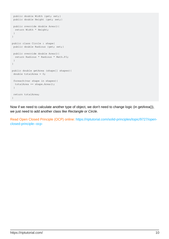```
 public double Width {get; set;}
 public double Height {get; set;}
 public override double Area(){
  return Width * Height;
  }
}
public class Circle : shape{
 public double Radious {get; set;}
 public override double Area(){
  return Radious * Radious * Math.PI;
  }
}
public double getArea (shape[] shapes){
 double totalArea = 0;
 foreach(var shape in shapes){
  totalArea += shape.Area();
  }
 return totalArea;
}
```
Now if we need to calculate another type of object, we don't need to change logic (in getArea()), we just need to add another class like Rectangle or Circle.

Read Open Closed Principle (OCP) online: [https://riptutorial.com/solid-principles/topic/9727/open](https://riptutorial.com/solid-principles/topic/9727/open-closed-principle--ocp-)[closed-principle--ocp-](https://riptutorial.com/solid-principles/topic/9727/open-closed-principle--ocp-)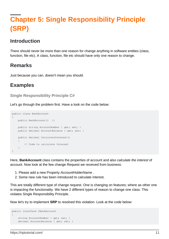# <span id="page-12-0"></span>**Chapter 5: Single Responsibility Principle (SRP)**

# <span id="page-12-1"></span>**Introduction**

There should never be more than one reason for change anything in software entities (class, function, file etc). A class, function, file etc should have only one reason to change.

# <span id="page-12-2"></span>**Remarks**

<span id="page-12-3"></span>Just because you can, doesn't mean you should.

# **Examples**

### <span id="page-12-4"></span>**Single Responsibility Principle C#**

Let's go through the problem first. Have a look on the code below:

```
public class BankAccount
{
    public BankAccount() {}
     public string AccountNumber { get; set; }
    public decimal AccountBalance { get; set; }
     public decimal CalculateInterest()
     {
         // Code to calculate Interest
     }
}
```
Here, **BankAccount** class contains the properties of account and also calculate the interest of account. Now look at the few change Request we received from business:

- 1. Please add a new Property AccountHolderName.
- 2. Some new rule has been introduced to calculate interest.

This are totally different type of change request. One is changing on features; where as other one is impacting the functionality. We have 2 different types of reason to change one class. This violates Single Responsibility Principle.

Now let's try to implement **SRP** to resolved this violation. Look at the code below:

```
public interface IBankAccount
{
    string AccountNumber { get; set; }
     decimal AccountBalance { get; set; }
```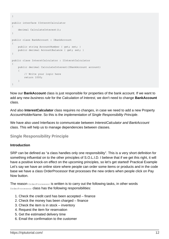```
}
public interface IInterstCalculator
{
     decimal CalculateInterest();
}
public class BankAccount : IBankAccount
{
     public string AccountNumber { get; set; }
   public decimal AccountBalance { get; set; }
}
public class InterstCalculator : IInterstCalculator
{
     public decimal CalculateInterest(IBankAccount account)
     {
         // Write your logic here
        return 1000;
     }
}
```
Now our **BankAccount** class is just responsible for properties of the bank account. If we want to add any new business rule for the Calculation of Interest, we don't need to change **BankAccount** class.

And also **InterestCalculator** class requires no changes, in case we need to add a new Property AccountHolderName. So this is the implementation of Single Responsibility Principle.

We have also used Interfaces to communicate between InterestCalculator and BankAccount class. This will help us to manage dependencies between classes.

### <span id="page-13-0"></span>**Single Responsibility Principle**

### **Introduction**

SRP can be defined as "a class handles only one responsibility". This is a very short definition for something influential on to the other principles of S.O.L.I.D. I believe that if we get this right, it will have a positive knock-on effect on the upcoming principles, so let's get started! Practical Example Let's say we have an online store where people can order some items or products and in the code base we have a class OrderProcessor that processes the new orders when people click on Pay Now button.

The reason  $\circ$ rderProcessor is written is to carry out the following tasks, in other words OrderProcessor class has the following responsibilities:

- 1. Check the credit card has been accepted finance
- 2. Check the money has been charged finance
- 3. Check the item is in stock inventory
- 4. Request the item for reservation
- 5. Get the estimated delivery time
- 6. Email the confirmation to the customer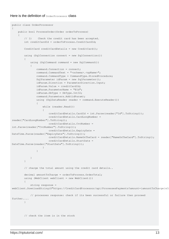#### Here is the definition of **OrderProcessor** class

```
public class OrderProcessor
{
      public bool ProcessOrder(Order orderToProcess)
       {
             // 1) Check the credit card has been accepted.
            int creditCardId = orderToProcess.CreditCardId;
             CreditCard creditCardDetails = new CreditCard();
             using (SqlConnection connect = new SqlConnection())
\left\{ \begin{array}{cc} 0 & 0 \\ 0 & 0 \end{array} \right\} using (SqlCommand command = new SqlCommand())
\left\{ \begin{array}{cc} 0 & 0 & 0 \\ 0 & 0 & 0 \\ 0 & 0 & 0 \\ 0 & 0 & 0 \\ 0 & 0 & 0 \\ 0 & 0 & 0 \\ 0 & 0 & 0 \\ 0 & 0 & 0 \\ 0 & 0 & 0 \\ 0 & 0 & 0 \\ 0 & 0 & 0 \\ 0 & 0 & 0 & 0 \\ 0 & 0 & 0 & 0 \\ 0 & 0 & 0 & 0 \\ 0 & 0 & 0 & 0 & 0 \\ 0 & 0 & 0 & 0 & 0 \\ 0 & 0 & 0 & 0 & 0 \\ 0 & 0 & 0 & 0 & 0 \\ 0 & 0 & 0 & 0 & 0 command.Connection = connect;
                        command.CommandText = "<schema>.<spName>";
                         command.CommandType = CommandType.StoredProcedure;
                        SqlParameter idParam = new SqlParameter();
                         idParam.Direction = ParameterDirection.Input;
                         idParam.Value = creditCardId;
                         idParam.ParameterName = "@Id";
                         idParam.DbType = DbType.Int32;
                         command.Parameters.Add(idParam);
                        using (SqlDataReader reader = command.ExecuteReader())
\left\{ \begin{array}{cc} 0 & 0 & 0 \\ 0 & 0 & 0 \\ 0 & 0 & 0 \\ 0 & 0 & 0 \\ 0 & 0 & 0 \\ 0 & 0 & 0 \\ 0 & 0 & 0 \\ 0 & 0 & 0 \\ 0 & 0 & 0 \\ 0 & 0 & 0 \\ 0 & 0 & 0 \\ 0 & 0 & 0 & 0 \\ 0 & 0 & 0 & 0 \\ 0 & 0 & 0 & 0 \\ 0 & 0 & 0 & 0 & 0 \\ 0 & 0 & 0 & 0 & 0 \\ 0 & 0 & 0 & 0 & 0 \\ 0 & 0 & 0 & 0 & 0 & 0 \\ 0 & 0 & 0 & 0 while (reader.Read())
{1 \over 2} (b) {1 \over 2} (b) {1 \over 2} (b) {1 \over 2} (b) {1 \over 2} (b) {1 \over 2} (b) {1 \over 2} (b) {1 \over 2} (b) {1 \over 2} (b) {1 \over 2} (c) {1 \over 2} (c) {1 \over 2} (c) {1 \over 2} (c) {1 \over 2} (c) {1 \over 2} (c) {1 \over 2} (
                                     creditCardDetails.CardId = int.Parse(reader["Id"].ToString());
                                     creditCardDetails.CardLongNumber =
reader["CardLongNumber"].ToString();
                                     creditCardDetails.CvcNumber =
int.Parse(reader["CvcNumber"].ToString());
                                     creditCardDetails.ExpiryDate =
DateTime.Parse(reader["ExpiryDate"].ToString());
                                    creditCardDetails.NameOnTheCard = reader["NameOnTheCard"].ToString();
                                     creditCardDetails.StartDate =
DateTime.Parse(reader["StartDate"].ToString());
 }
 }
 }
             }
             // charge the total amount using the credit card details..
             decimal amountToCharge = orderToProcess.OrderTotal;
             using (WebClient webClient = new WebClient())
             {
                  string response =
webClient.DownloadString($"https://CreditCardProcessor/api/ProcessesPayments?amount={amountToCharge}&C:
                   // processes response: check if its been successful or failure then proceed
further....
            }
             // check the item is in the stock
```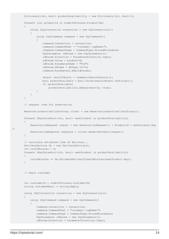```
Dictionary<int, bool> productAvailability = new Dictionary<int, bool>();
                 foreach (int productId in orderToProcess.ProductIds)
\left\{ \begin{array}{cc} 0 & 0 \\ 0 & 0 \end{array} \right\} using (SqlConnection connection = new SqlConnection())
\left\{ \begin{array}{cc} 0 & 0 & 0 \\ 0 & 0 & 0 \\ 0 & 0 & 0 \\ 0 & 0 & 0 \\ 0 & 0 & 0 \\ 0 & 0 & 0 \\ 0 & 0 & 0 \\ 0 & 0 & 0 \\ 0 & 0 & 0 \\ 0 & 0 & 0 \\ 0 & 0 & 0 \\ 0 & 0 & 0 & 0 \\ 0 & 0 & 0 & 0 \\ 0 & 0 & 0 & 0 \\ 0 & 0 & 0 & 0 & 0 \\ 0 & 0 & 0 & 0 & 0 \\ 0 & 0 & 0 & 0 & 0 \\ 0 & 0 & 0 & 0 & 0 \\ 0 & 0 & 0 & 0 & 0 using (SqlCommand command = new SqlCommand())
\left\{ \begin{array}{cc} 0 & 0 & 0 \\ 0 & 0 & 0 \\ 0 & 0 & 0 \\ 0 & 0 & 0 \\ 0 & 0 & 0 \\ 0 & 0 & 0 \\ 0 & 0 & 0 \\ 0 & 0 & 0 \\ 0 & 0 & 0 \\ 0 & 0 & 0 \\ 0 & 0 & 0 \\ 0 & 0 & 0 & 0 \\ 0 & 0 & 0 & 0 \\ 0 & 0 & 0 & 0 \\ 0 & 0 & 0 & 0 & 0 \\ 0 & 0 & 0 & 0 & 0 \\ 0 & 0 & 0 & 0 & 0 \\ 0 & 0 & 0 & 0 & 0 & 0 \\ 0 & 0 & 0 & 0 command.Connection = connection;
                                        command.CommandText = "<schema>.<spName>";
                                         command.CommandType = CommandType.StoredProcedure;
                                         SqlParameter idParam = new SqlParameter();
                                         idParam.Direction = ParameterDirection.Input;
                                         idParam.Value = productId;
                                         idParam.ParameterName = "@Id";
                                         idParam.DbType = DbType.Int32;
                                         command.Parameters.Add(idParam);
                                         object resultObject = command.ExecuteScalar();
                                         bool prductAvailable = bool.Parse(resultObject.ToString());
                                         if (prductAvailable)
                                                 productAvailability.Add(productId, true);
 }
 }
                 }
                 // request item for reservation
                ReservationServiceClientProxy client = new ReservationServiceClientProxy();
                 foreach (KeyValuePair<int, bool> nextProduct in productAvailability)
\left\{ \begin{array}{cc} 0 & 0 & 0 \\ 0 & 0 & 0 \\ 0 & 0 & 0 \\ 0 & 0 & 0 \\ 0 & 0 & 0 \\ 0 & 0 & 0 \\ 0 & 0 & 0 \\ 0 & 0 & 0 \\ 0 & 0 & 0 \\ 0 & 0 & 0 \\ 0 & 0 & 0 \\ 0 & 0 & 0 & 0 \\ 0 & 0 & 0 & 0 \\ 0 & 0 & 0 & 0 \\ 0 & 0 & 0 & 0 & 0 \\ 0 & 0 & 0 & 0 & 0 \\ 0 & 0 & 0 & 0 & 0 \\ 0 & 0 & 0 & 0 & 0 \\ 0 & 0 & 0 & 0 & 0 ReservationRequest requst = new ReservationRequest() { ProductId = nextProduct.Key
                       ReservationResponse response = client.ReserveProduct(requst);
                 }
                 // calculate estimated time of delivery...
                 DeliveryService ds = new DeliveryService();
                int totalMinutes = 0; foreach (KeyValuePair<int, bool> nextProduct in productAvailability)
\left\{ \begin{array}{cc} 0 & 0 & 0 \\ 0 & 0 & 0 \\ 0 & 0 & 0 \\ 0 & 0 & 0 \\ 0 & 0 & 0 \\ 0 & 0 & 0 \\ 0 & 0 & 0 \\ 0 & 0 & 0 \\ 0 & 0 & 0 \\ 0 & 0 & 0 \\ 0 & 0 & 0 \\ 0 & 0 & 0 & 0 \\ 0 & 0 & 0 & 0 \\ 0 & 0 & 0 & 0 \\ 0 & 0 & 0 & 0 & 0 \\ 0 & 0 & 0 & 0 & 0 \\ 0 & 0 & 0 & 0 & 0 \\ 0 & 0 & 0 & 0 & 0 \\ 0 & 0 & 0 & 0 & 0 totalMinutes += ds.EstimateDeliveryTimeInMinutes(nextProduct.Key);
 }
                 // email customer
                 int customerId = orderToProcess.CustomerId;
                string customerEmail = string. Empty;
                 using (SqlConnection connection = new SqlConnection())
\left\{ \begin{array}{cc} 0 & 0 & 0 \\ 0 & 0 & 0 \\ 0 & 0 & 0 \\ 0 & 0 & 0 \\ 0 & 0 & 0 \\ 0 & 0 & 0 \\ 0 & 0 & 0 \\ 0 & 0 & 0 \\ 0 & 0 & 0 \\ 0 & 0 & 0 \\ 0 & 0 & 0 \\ 0 & 0 & 0 & 0 \\ 0 & 0 & 0 & 0 \\ 0 & 0 & 0 & 0 \\ 0 & 0 & 0 & 0 & 0 \\ 0 & 0 & 0 & 0 & 0 \\ 0 & 0 & 0 & 0 & 0 \\ 0 & 0 & 0 & 0 & 0 \\ 0 & 0 & 0 & 0 & 0 using (SqlCommand command = new SqlCommand())
\left\{ \begin{array}{cc} 0 & 0 & 0 \\ 0 & 0 & 0 \\ 0 & 0 & 0 \\ 0 & 0 & 0 \\ 0 & 0 & 0 \\ 0 & 0 & 0 \\ 0 & 0 & 0 \\ 0 & 0 & 0 \\ 0 & 0 & 0 \\ 0 & 0 & 0 \\ 0 & 0 & 0 \\ 0 & 0 & 0 & 0 \\ 0 & 0 & 0 & 0 \\ 0 & 0 & 0 & 0 \\ 0 & 0 & 0 & 0 & 0 \\ 0 & 0 & 0 & 0 & 0 \\ 0 & 0 & 0 & 0 & 0 \\ 0 & 0 & 0 & 0 & 0 & 0 \\ 0 & 0 & 0 & 0 command.Connection = connection;
                                command.CommandText = "<schema>.<spName>";
                                 command.CommandType = CommandType.StoredProcedure;
                                 SqlParameter idParam = new SqlParameter();
                                 idParam.Direction = ParameterDirection.Input;
```

```
};
```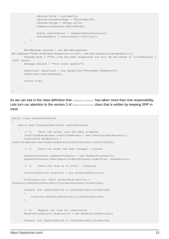```
 idParam.Value = customerId;
                 idParam.ParameterName = "@customerId";
                 idParam.DbType = DbType.Int32;
                 command.Parameters.Add(idParam);
                 object resultObject = command.ExecuteScalar();
                 customerEmail = resultObject.ToString();
 }
 }
         MailMessage message = new MailMessage(new
MailAddress("Some.One@SuperCheapStore.co.uk"), new MailAddress(customerEmail));
         message.Body = $"You item has been dispatched and will be delivered in {totalMinutes /
1440} days";
         message.Subject = "Your order update!";
        SmtpClient smtpClient = new SmtpClient("HostName/IPAddress");
         smtpClient.Send(message);
         return true;
    }
}
```
As we can see in the class definition that **orderProcessor** has taken more than one responsibility. Lets turn our attention to the version 2 of orderProcesser class that is written by keeping SRP in mind.

```
public class OrderProcessorV2
{
    public bool ProcessOrder(Order orderToProcess)
     {
         // 1) Check the credit card has been accepted.
        CreditCardDataAccess creditCardAccess = new CreditCardDataAccess();
         CreditCard cardDetails =
creditCardAccess.GetCreditCardDetails(orderToProcess.CreditCardId);
         // 2) Check the money has been charged – finance
        PaymentProcessor paymentProcessor = new PaymentProcessor();
         paymentProcessor.DebitAmount(orderToProcess.OrderTotal, cardDetails);
         // 3) Check the item is in stock – inventory
         InventoryService inventory = new InventoryService();
        Dictionary<int, bool> productAvailability =
inventory.CheckStockAvailability(orderToProcess.ProductIds);
         foreach (int nextProductId in orderToProcess.ProductIds)
         {
             inventory.CheckStockAvailability(nextProductId);
 }
         // 4) Request the item for reservation
         ReservationService reservation = new ReservationService();
         foreach (int nextProductId in orderToProcess.ProductIds)
```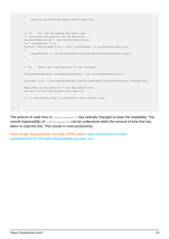```
\left\{ \begin{array}{cc} 0 & 0 \\ 0 & 0 \end{array} \right\} reservation.ReserveProduct(nextProductId);
 }
          // 5) Get the estimated delivery time
          // calculate estimated time of delivery...
         DeliveryService ds = new DeliveryService();
          int totalMinutes = 0;
          foreach (KeyValuePair<int, bool> nextProduct in productAvailability)
\left\{ \begin{array}{cc} 0 & 0 \\ 0 & 0 \end{array} \right\} totalMinutes += ds.EstimateDeliveryTimeInMinutes(nextProduct.Key);
          }
          // 6) Email the confirmation to the customer
         CustomerDataAccess customerDataAccess = new CustomerDataAccess();
        Customer cust = customerDataAccess.GetCustomerDetails(orderToProcess.CustomerId);
         EmailService mailService = new EmailService();
         mailService.NotifyCustomer(cust.Email);
         // if everything step is successful then return true..
     }
```
The amount of code lines in orderProcessorV2 has radically changed so does the readability. The overall responsibility of  $\sigma$ <sub>derProcessorV2</sub> can be understood within the amount of time that has taken to read this line. This results in more productivity.

Read Single Responsibility Principle (SRP) online: [https://riptutorial.com/solid](https://riptutorial.com/solid-principles/topic/9726/single-responsibility-principle--srp-)[principles/topic/9726/single-responsibility-principle--srp-](https://riptutorial.com/solid-principles/topic/9726/single-responsibility-principle--srp-)

}